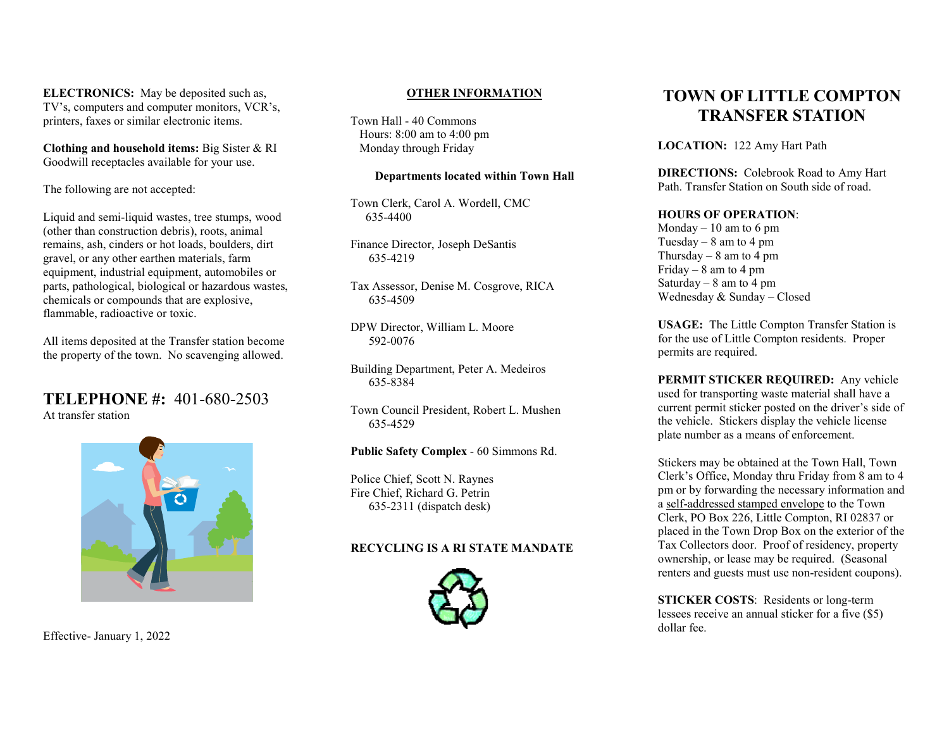ELECTRONICS: May be deposited such as, TV's, computers and computer monitors, VCR's, printers, faxes or similar electronic items.

Clothing and household items: Big Sister & RI Goodwill receptacles available for your use.

The following are not accepted:

Liquid and semi-liquid wastes, tree stumps, wood (other than construction debris), roots, animal remains, ash, cinders or hot loads, boulders, dirt gravel, or any other earthen materials, farm equipment, industrial equipment, automobiles or parts, pathological, biological or hazardous wastes, chemicals or compounds that are explosive, flammable, radioactive or toxic.

All items deposited at the Transfer station become the property of the town. No scavenging allowed.

TELEPHONE #: 401-680-2503 At transfer station



Effective- January 1, 2022

### OTHER INFORMATION

Town Hall - 40 Commons Hours: 8:00 am to 4:00 pm Monday through Friday

#### Departments located within Town Hall

Town Clerk, Carol A. Wordell, CMC 635-4400

Finance Director, Joseph DeSantis 635-4219

Tax Assessor, Denise M. Cosgrove, RICA 635-4509

DPW Director, William L. Moore 592-0076

Building Department, Peter A. Medeiros 635-8384

Town Council President, Robert L. Mushen 635-4529

## Public Safety Complex - 60 Simmons Rd.

Police Chief, Scott N. Raynes Fire Chief, Richard G. Petrin 635-2311 (dispatch desk)

## RECYCLING IS A RI STATE MANDATE



# TOWN OF LITTLE COMPTON TRANSFER STATION

LOCATION: 122 Amy Hart Path

DIRECTIONS: Colebrook Road to Amy Hart Path. Transfer Station on South side of road.

## HOURS OF OPERATION:

Monday  $-10$  am to 6 pm Tuesday –  $8$  am to 4 pm Thursday – 8 am to 4 pm Friday –  $8$  am to 4 pm Saturday –  $8$  am to  $4$  pm Wednesday & Sunday – Closed

USAGE: The Little Compton Transfer Station is for the use of Little Compton residents. Proper permits are required.

PERMIT STICKER REQUIRED: Any vehicle used for transporting waste material shall have a current permit sticker posted on the driver's side of the vehicle. Stickers display the vehicle license plate number as a means of enforcement.

Stickers may be obtained at the Town Hall, Town Clerk's Office, Monday thru Friday from 8 am to 4 pm or by forwarding the necessary information and a self-addressed stamped envelope to the Town Clerk, PO Box 226, Little Compton, RI 02837 or placed in the Town Drop Box on the exterior of the Tax Collectors door. Proof of residency, property ownership, or lease may be required. (Seasonal renters and guests must use non-resident coupons).

STICKER COSTS: Residents or long-term lessees receive an annual sticker for a five (\$5) dollar fee.